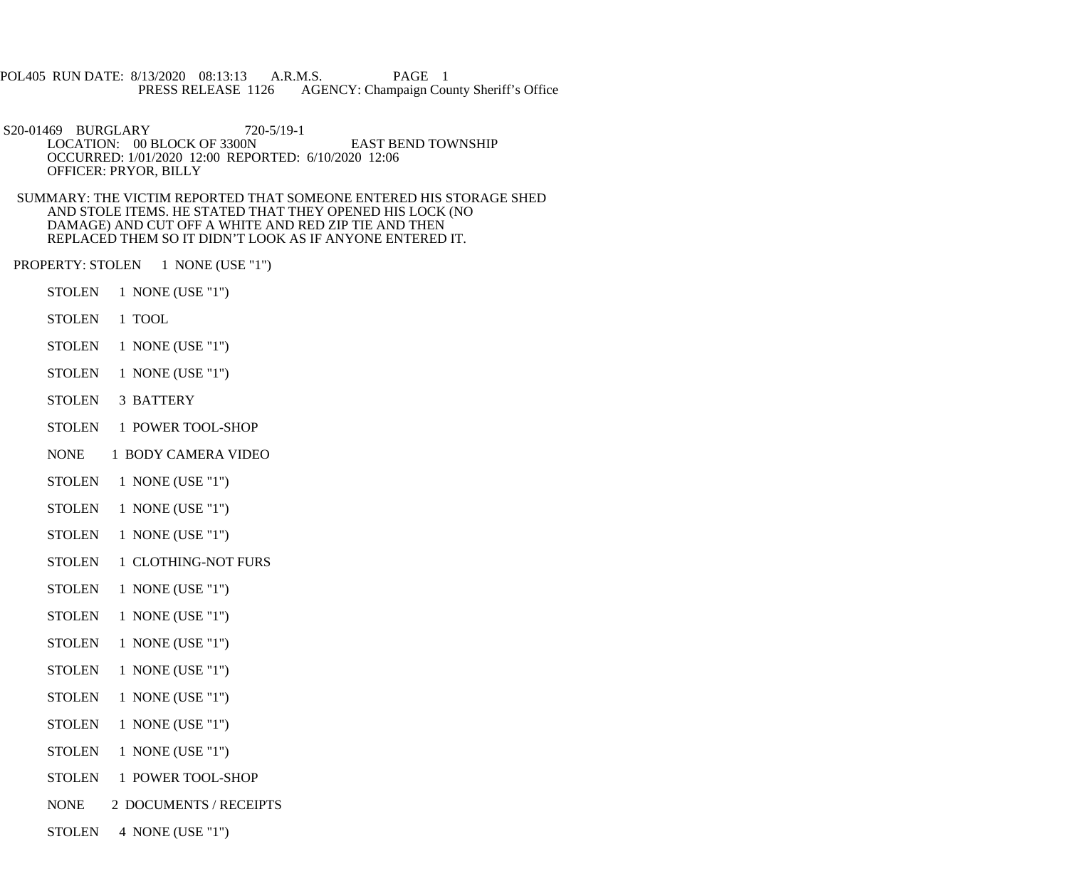POL405 RUN DATE: 8/13/2020 08:13:13 A.R.M.S. PAGE 1<br>PRESS RELEASE 1126 AGENCY: Champaign Cou AGENCY: Champaign County Sheriff's Office

 S20-01469 BURGLARY 720-5/19-1 LOCATION: 00 BLOCK OF 3300N EAST BEND TOWNSHIP OCCURRED: 1/01/2020 12:00 REPORTED: 6/10/2020 12:06 OFFICER: PRYOR, BILLY

 SUMMARY: THE VICTIM REPORTED THAT SOMEONE ENTERED HIS STORAGE SHED AND STOLE ITEMS. HE STATED THAT THEY OPENED HIS LOCK (NO DAMAGE) AND CUT OFF A WHITE AND RED ZIP TIE AND THEN REPLACED THEM SO IT DIDN'T LOOK AS IF ANYONE ENTERED IT.

PROPERTY: STOLEN 1 NONE (USE "1")

- STOLEN 1 NONE (USE "1")
- STOLEN 1 TOOL
- STOLEN 1 NONE (USE "1")
- STOLEN 1 NONE (USE "1")
- STOLEN 3 BATTERY
- STOLEN 1 POWER TOOL-SHOP
- NONE 1 BODY CAMERA VIDEO
- STOLEN 1 NONE (USE "1")
- STOLEN 1 NONE (USE "1")
- STOLEN 1 NONE (USE "1")
- STOLEN 1 CLOTHING-NOT FURS
- STOLEN 1 NONE (USE "1")
- STOLEN 1 NONE (USE "1")
- STOLEN 1 NONE (USE "1")
- STOLEN 1 NONE (USE "1")
- STOLEN 1 NONE (USE "1")
- STOLEN 1 NONE (USE "1")
- STOLEN 1 NONE (USE "1")
- STOLEN 1 POWER TOOL-SHOP
- NONE 2 DOCUMENTS / RECEIPTS
- STOLEN 4 NONE (USE "1")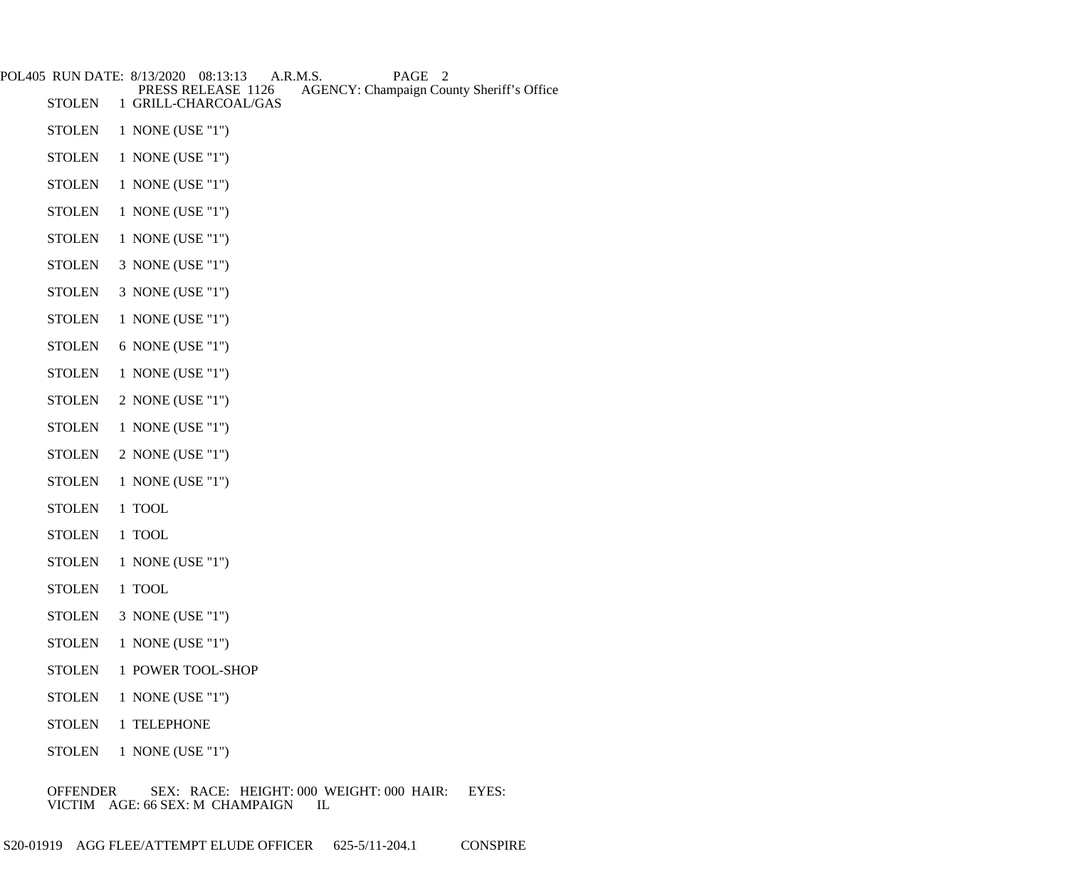| POL405 RUN DATE: 8/13/2020 | A.R.M.S.<br>PAGE<br>08:13:13<br>2<br><b>AGENCY: Champaign County Sheriff's Office</b><br>PRESS RELEASE 1126 |
|----------------------------|-------------------------------------------------------------------------------------------------------------|
| <b>STOLEN</b>              | 1 GRILL-CHARCOAL/GAS                                                                                        |
| <b>STOLEN</b>              | 1 NONE (USE "1")                                                                                            |
| <b>STOLEN</b>              | 1 NONE (USE "1")                                                                                            |
| <b>STOLEN</b>              | 1 NONE (USE "1")                                                                                            |
| <b>STOLEN</b>              | 1 NONE (USE "1")                                                                                            |
| <b>STOLEN</b>              | 1 NONE (USE "1")                                                                                            |
| <b>STOLEN</b>              | 3 NONE (USE "1")                                                                                            |
| <b>STOLEN</b>              | 3 NONE (USE "1")                                                                                            |
| <b>STOLEN</b>              | 1 NONE (USE "1")                                                                                            |
| <b>STOLEN</b>              | 6 NONE (USE "1")                                                                                            |
| <b>STOLEN</b>              | 1 NONE (USE "1")                                                                                            |
| <b>STOLEN</b>              | 2 NONE (USE "1")                                                                                            |
| <b>STOLEN</b>              | 1 NONE (USE "1")                                                                                            |
| <b>STOLEN</b>              | 2 NONE (USE "1")                                                                                            |
| <b>STOLEN</b>              | 1 NONE (USE "1")                                                                                            |
| <b>STOLEN</b>              | 1 TOOL                                                                                                      |
| <b>STOLEN</b>              | 1 TOOL                                                                                                      |
| <b>STOLEN</b>              | 1 NONE (USE "1")                                                                                            |
| <b>STOLEN</b>              | 1 TOOL                                                                                                      |
| <b>STOLEN</b>              | 3 NONE (USE "1")                                                                                            |
| <b>STOLEN</b>              | 1 NONE (USE "1")                                                                                            |
| <b>STOLEN</b>              | 1 POWER TOOL-SHOP                                                                                           |
| <b>STOLEN</b>              | 1 NONE (USE "1")                                                                                            |

- STOLEN 1 TELEPHONE
- STOLEN 1 NONE (USE "1")

 OFFENDER SEX: RACE: HEIGHT: 000 WEIGHT: 000 HAIR: EYES: VICTIM AGE: 66 SEX: M CHAMPAIGN IL